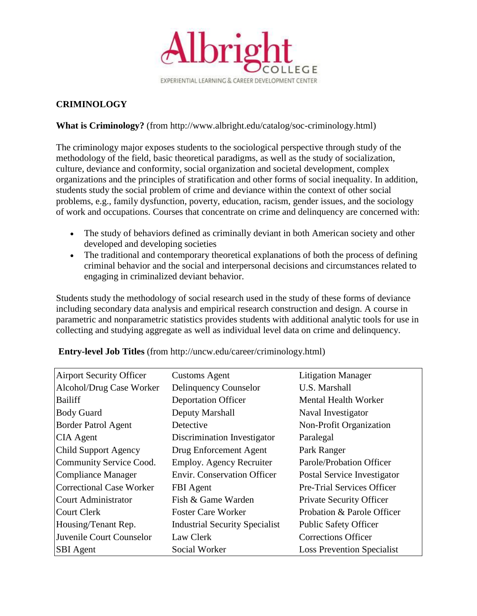

### **CRIMINOLOGY**

#### **What is Criminology?** (from http://www.albright.edu/catalog/soc-criminology.html)

The criminology major exposes students to the sociological perspective through study of the methodology of the field, basic theoretical paradigms, as well as the study of socialization, culture, deviance and conformity, social organization and societal development, complex organizations and the principles of stratification and other forms of social inequality. In addition, students study the social problem of crime and deviance within the context of other social problems, e.g., family dysfunction, poverty, education, racism, gender issues, and the sociology of work and occupations. Courses that concentrate on crime and delinquency are concerned with:

- The study of behaviors defined as criminally deviant in both American society and other developed and developing societies
- The traditional and contemporary theoretical explanations of both the process of defining criminal behavior and the social and interpersonal decisions and circumstances related to engaging in criminalized deviant behavior.

Students study the methodology of social research used in the study of these forms of deviance including secondary data analysis and empirical research construction and design. A course in parametric and nonparametric statistics provides students with additional analytic tools for use in collecting and studying aggregate as well as individual level data on crime and delinquency.

| <b>Airport Security Officer</b> | <b>Customs Agent</b>                  | <b>Litigation Manager</b>         |
|---------------------------------|---------------------------------------|-----------------------------------|
| Alcohol/Drug Case Worker        | Delinquency Counselor                 | U.S. Marshall                     |
| Bailiff                         | <b>Deportation Officer</b>            | <b>Mental Health Worker</b>       |
| <b>Body Guard</b>               | Deputy Marshall                       | Naval Investigator                |
| <b>Border Patrol Agent</b>      | Detective                             | Non-Profit Organization           |
| <b>CIA</b> Agent                | Discrimination Investigator           | Paralegal                         |
| <b>Child Support Agency</b>     | Drug Enforcement Agent                | Park Ranger                       |
| Community Service Cood.         | <b>Employ. Agency Recruiter</b>       | Parole/Probation Officer          |
| Compliance Manager              | <b>Envir.</b> Conservation Officer    | Postal Service Investigator       |
| <b>Correctional Case Worker</b> | <b>FBI</b> Agent                      | Pre-Trial Services Officer        |
| <b>Court Administrator</b>      | Fish & Game Warden                    | <b>Private Security Officer</b>   |
| <b>Court Clerk</b>              | <b>Foster Care Worker</b>             | Probation & Parole Officer        |
| Housing/Tenant Rep.             | <b>Industrial Security Specialist</b> | <b>Public Safety Officer</b>      |
| Juvenile Court Counselor        | Law Clerk                             | <b>Corrections Officer</b>        |
| <b>SBI</b> Agent                | Social Worker                         | <b>Loss Prevention Specialist</b> |

**Entry-level Job Titles** (from http://uncw.edu/career/criminology.html)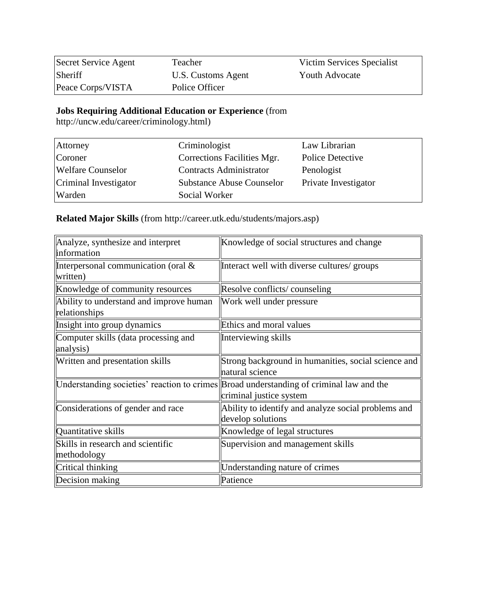| Secret Service Agent | Teacher            | Victim Services Specialist |
|----------------------|--------------------|----------------------------|
| Sheriff              | U.S. Customs Agent | <b>Youth Advocate</b>      |
| Peace Corps/VISTA    | Police Officer     |                            |

#### **Jobs Requiring Additional Education or Experience** (from

http://uncw.edu/career/criminology.html)

| Attorney                 | Criminologist                    | Law Librarian        |
|--------------------------|----------------------------------|----------------------|
| Coroner                  | Corrections Facilities Mgr.      | Police Detective     |
| <b>Welfare Counselor</b> | <b>Contracts Administrator</b>   | Penologist           |
| Criminal Investigator    | <b>Substance Abuse Counselor</b> | Private Investigator |
| Warden                   | Social Worker                    |                      |

# **Related Major Skills** (from http://career.utk.edu/students/majors.asp)

| Analyze, synthesize and interpret<br>information         | Knowledge of social structures and change                                                                          |
|----------------------------------------------------------|--------------------------------------------------------------------------------------------------------------------|
| Interpersonal communication (oral &<br>written)          | Interact well with diverse cultures/ groups                                                                        |
| Knowledge of community resources                         | Resolve conflicts/counseling                                                                                       |
| Ability to understand and improve human<br>relationships | Work well under pressure                                                                                           |
| Insight into group dynamics                              | Ethics and moral values                                                                                            |
| Computer skills (data processing and<br>analysis)        | Interviewing skills                                                                                                |
| Written and presentation skills                          | Strong background in humanities, social science and<br>natural science                                             |
|                                                          | Understanding societies' reaction to crimes Broad understanding of criminal law and the<br>criminal justice system |
| Considerations of gender and race                        | Ability to identify and analyze social problems and<br>develop solutions                                           |
| Quantitative skills                                      | Knowledge of legal structures                                                                                      |
| Skills in research and scientific<br>methodology         | Supervision and management skills                                                                                  |
| Critical thinking                                        | Understanding nature of crimes                                                                                     |
| Decision making                                          | Patience                                                                                                           |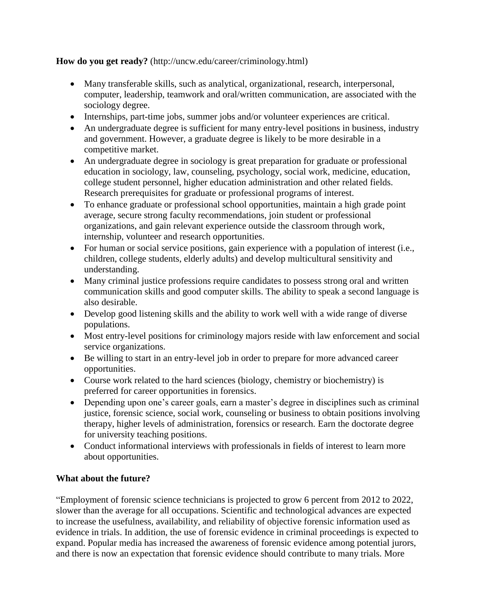### **How do you get ready?** (http://uncw.edu/career/criminology.html)

- Many transferable skills, such as analytical, organizational, research, interpersonal, computer, leadership, teamwork and oral/written communication, are associated with the sociology degree.
- Internships, part-time jobs, summer jobs and/or volunteer experiences are critical.
- An undergraduate degree is sufficient for many entry-level positions in business, industry and government. However, a graduate degree is likely to be more desirable in a competitive market.
- An undergraduate degree in sociology is great preparation for graduate or professional education in sociology, law, counseling, psychology, social work, medicine, education, college student personnel, higher education administration and other related fields. Research prerequisites for graduate or professional programs of interest.
- To enhance graduate or professional school opportunities, maintain a high grade point average, secure strong faculty recommendations, join student or professional organizations, and gain relevant experience outside the classroom through work, internship, volunteer and research opportunities.
- For human or social service positions, gain experience with a population of interest (i.e., children, college students, elderly adults) and develop multicultural sensitivity and understanding.
- Many criminal justice professions require candidates to possess strong oral and written communication skills and good computer skills. The ability to speak a second language is also desirable.
- Develop good listening skills and the ability to work well with a wide range of diverse populations.
- Most entry-level positions for criminology majors reside with law enforcement and social service organizations.
- Be willing to start in an entry-level job in order to prepare for more advanced career opportunities.
- Course work related to the hard sciences (biology, chemistry or biochemistry) is preferred for career opportunities in forensics.
- Depending upon one's career goals, earn a master's degree in disciplines such as criminal justice, forensic science, social work, counseling or business to obtain positions involving therapy, higher levels of administration, forensics or research. Earn the doctorate degree for university teaching positions.
- Conduct informational interviews with professionals in fields of interest to learn more about opportunities.

## **What about the future?**

"Employment of forensic science technicians is projected to grow 6 percent from 2012 to 2022, slower than the average for all occupations. Scientific and technological advances are expected to increase the usefulness, availability, and reliability of objective forensic information used as evidence in trials. In addition, the use of forensic evidence in criminal proceedings is expected to expand. Popular media has increased the awareness of forensic evidence among potential jurors, and there is now an expectation that forensic evidence should contribute to many trials. More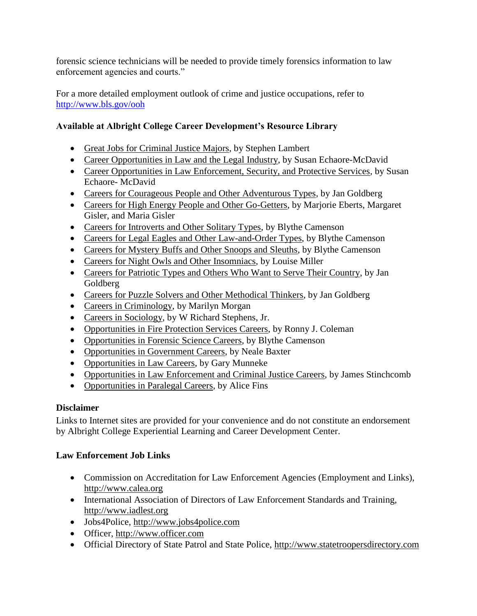forensic science technicians will be needed to provide timely forensics information to law enforcement agencies and courts."

For a more detailed employment outlook of crime and justice occupations, refer to <http://www.bls.gov/ooh>

# **Available at Albright College Career Development's Resource Library**

- Great Jobs for Criminal Justice Majors, by Stephen Lambert
- Career Opportunities in Law and the Legal Industry, by Susan Echaore-McDavid
- Career Opportunities in Law Enforcement, Security, and Protective Services, by Susan Echaore- McDavid
- Careers for Courageous People and Other Adventurous Types, by Jan Goldberg
- Careers for High Energy People and Other Go-Getters, by Marjorie Eberts, Margaret Gisler, and Maria Gisler
- Careers for Introverts and Other Solitary Types, by Blythe Camenson
- Careers for Legal Eagles and Other Law-and-Order Types, by Blythe Camenson
- Careers for Mystery Buffs and Other Snoops and Sleuths, by Blythe Camenson
- Careers for Night Owls and Other Insomniacs, by Louise Miller
- Careers for Patriotic Types and Others Who Want to Serve Their Country, by Jan Goldberg
- Careers for Puzzle Solvers and Other Methodical Thinkers, by Jan Goldberg
- Careers in Criminology, by Marilyn Morgan
- Careers in Sociology, by W Richard Stephens, Jr.
- Opportunities in Fire Protection Services Careers, by Ronny J. Coleman
- Opportunities in Forensic Science Careers, by Blythe Camenson
- Opportunities in Government Careers, by Neale Baxter
- Opportunities in Law Careers, by Gary Munneke
- Opportunities in Law Enforcement and Criminal Justice Careers, by James Stinchcomb
- Opportunities in Paralegal Careers, by Alice Fins

## **Disclaimer**

Links to Internet sites are provided for your convenience and do not constitute an endorsement by Albright College Experiential Learning and Career Development Center.

## **Law Enforcement Job Links**

- Commission on Accreditation for Law Enforcement Agencies (Employment and Links), [http://www.calea.org](http://www.calea.org/)
- International Association of Directors of Law Enforcement Standards and Training, [http://www.iadlest.org](http://www.iadlest.org/)
- Jobs4Police, [http://www.jobs4police.com](http://www.jobs4police.com/)
- Officer, [http://www.officer.com](http://www.officer.com/)
- Official Directory of State Patrol and State Police, [http://www.statetroopersdirectory.com](http://www.statetroopersdirectory.com/)